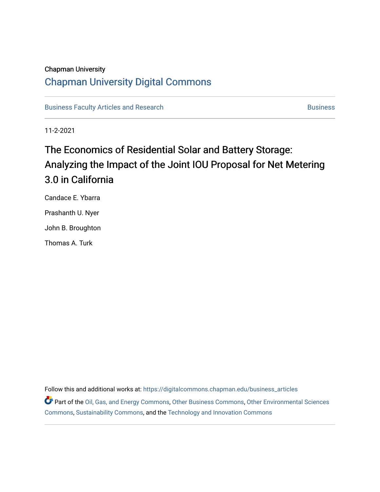# Chapman University

# [Chapman University Digital Commons](https://digitalcommons.chapman.edu/)

[Business Faculty Articles and Research](https://digitalcommons.chapman.edu/business_articles) [Business](https://digitalcommons.chapman.edu/business) **Business** Business

11-2-2021

# The Economics of Residential Solar and Battery Storage: Analyzing the Impact of the Joint IOU Proposal for Net Metering 3.0 in California

Candace E. Ybarra Prashanth U. Nyer John B. Broughton Thomas A. Turk

Follow this and additional works at: [https://digitalcommons.chapman.edu/business\\_articles](https://digitalcommons.chapman.edu/business_articles?utm_source=digitalcommons.chapman.edu%2Fbusiness_articles%2F130&utm_medium=PDF&utm_campaign=PDFCoverPages) 

Part of the [Oil, Gas, and Energy Commons](http://network.bepress.com/hgg/discipline/171?utm_source=digitalcommons.chapman.edu%2Fbusiness_articles%2F130&utm_medium=PDF&utm_campaign=PDFCoverPages), [Other Business Commons](http://network.bepress.com/hgg/discipline/647?utm_source=digitalcommons.chapman.edu%2Fbusiness_articles%2F130&utm_medium=PDF&utm_campaign=PDFCoverPages), Other Environmental Sciences [Commons](http://network.bepress.com/hgg/discipline/173?utm_source=digitalcommons.chapman.edu%2Fbusiness_articles%2F130&utm_medium=PDF&utm_campaign=PDFCoverPages), [Sustainability Commons,](http://network.bepress.com/hgg/discipline/1031?utm_source=digitalcommons.chapman.edu%2Fbusiness_articles%2F130&utm_medium=PDF&utm_campaign=PDFCoverPages) and the [Technology and Innovation Commons](http://network.bepress.com/hgg/discipline/644?utm_source=digitalcommons.chapman.edu%2Fbusiness_articles%2F130&utm_medium=PDF&utm_campaign=PDFCoverPages)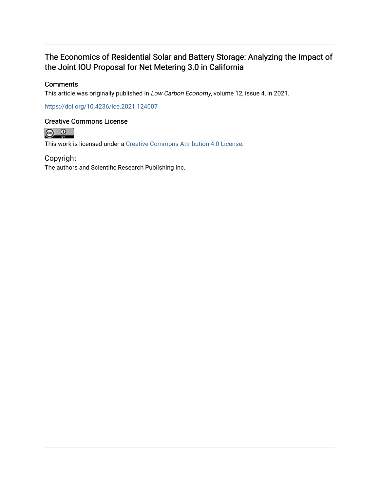# The Economics of Residential Solar and Battery Storage: Analyzing the Impact of the Joint IOU Proposal for Net Metering 3.0 in California

# **Comments**

This article was originally published in Low Carbon Economy, volume 12, issue 4, in 2021.

<https://doi.org/10.4236/lce.2021.124007>

# Creative Commons License



This work is licensed under a [Creative Commons Attribution 4.0 License](https://creativecommons.org/licenses/by/4.0/).

Copyright The authors and Scientific Research Publishing Inc.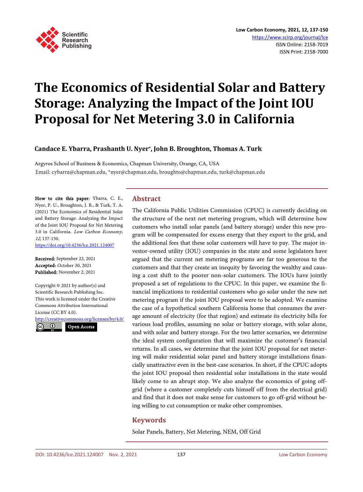

# **The Economics of Residential Solar and Battery Storage: Analyzing the Impact of the Joint IOU Proposal for Net Metering 3.0 in California**

**Candace E. Ybarra, Prashanth U. Nyer\*, John B. Broughton, Thomas A. Turk**

Argyros School of Business & Economics, Chapman University, Orange, CA, USA Email: cybarra@chapman.edu, \*nyer@chapman.edu, broughto@chapman.edu, turk@chapman.edu

How to cite this paper: Ybarra, C. E., Nyer, P. U., Broughton, J. B., & Turk, T. A. (2021) The Economics of Residential Solar and Battery Storage: Analyzing the Impact of the Joint IOU Proposal for Net Metering 3.0 in California. Low Carbon Economy, 12, 137-150.

<https://doi.org/10.4236/lce.2021.124007>

Received: September 22, 2021 Accepted: October 30, 2021 Published: November 2, 2021

Copyright © 2021 by author(s) and Scientific Research Publishing Inc. This work is licensed under the Creative Commons Attribution International License (CC BY 4.0). <http://creativecommons.org/licenses/by/4.0/>  $\odot$ Open Access

**Abstract**

The California Public Utilities Commission (CPUC) is currently deciding on the structure of the next net metering program, which will determine how customers who install solar panels (and battery storage) under this new program will be compensated for excess energy that they export to the grid, and the additional fees that these solar customers will have to pay. The major investor-owned utility (IOU) companies in the state and some legislators have argued that the current net metering programs are far too generous to the customers and that they create an inequity by favoring the wealthy and causing a cost shift to the poorer non-solar customers. The IOUs have jointly proposed a set of regulations to the CPUC. In this paper, we examine the financial implications to residential customers who go solar under the new net metering program if the joint IOU proposal were to be adopted. We examine the case of a hypothetical southern California home that consumes the average amount of electricity (for that region) and estimate its electricity bills for various load profiles, assuming no solar or battery storage, with solar alone, and with solar and battery storage. For the two latter scenarios, we determine the ideal system configuration that will maximize the customer's financial returns. In all cases, we determine that the joint IOU proposal for net metering will make residential solar panel and battery storage installations financially unattractive even in the best-case scenarios. In short, if the CPUC adopts the joint IOU proposal then residential solar installations in the state would likely come to an abrupt stop. We also analyze the economics of going offgrid (where a customer completely cuts himself off from the electrical grid) and find that it does not make sense for customers to go off-grid without being willing to cut consumption or make other compromises.

# **Keywords**

Solar Panels, Battery, Net Metering, NEM, Off Grid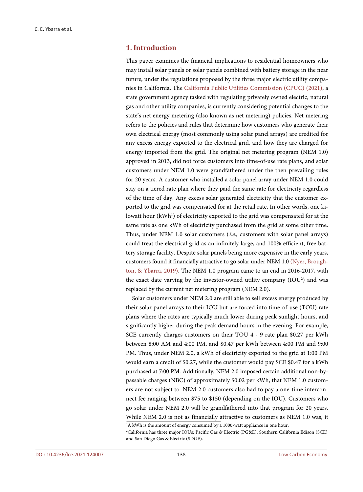#### **1. Introduction**

This paper examines the financial implications to residential homeowners who may install solar panels or solar panels combined with battery storage in the near future, under the regulations proposed by the three major electric utility companies in California. The [California Public Utilities Commission \(CPUC\)](#page-15-0) (2021), a state government agency tasked with regulating privately owned electric, natural gas and other utility companies, is currently considering potential changes to the state's net energy metering (also known as net metering) policies. Net metering refers to the policies and rules that determine how customers who generate their own electrical energy (most commonly using solar panel arrays) are credited for any excess energy exported to the electrical grid, and how they are charged for energy imported from the grid. The original net metering program (NEM 1.0) approved in 2013, did not force customers into time-of-use rate plans, and solar customers under NEM 1.0 were grandfathered under the then prevailing rules for 20 years. A customer who installed a solar panel array under NEM 1.0 could stay on a tiered rate plan where they paid the same rate for electricity regardless of the time of day. Any excess solar generated electricity that the customer exported to the grid was compensated for at the retail rate. In other words, one kilowatt hour (kWh<sup>1</sup>) of electricity exported to the grid was compensated for at the same rate as one kWh of electricity purchased from the grid at some other time. Thus, under NEM 1.0 solar customers (i.e., customers with solar panel arrays) could treat the electrical grid as an infinitely large, and 100% efficient, free battery storage facility. Despite solar panels being more expensive in the early years, customers found it financially attractive to go solar under NEM 1.0 [\(Nyer, Brough](#page-15-1)ton, [& Ybarra,](#page-15-1) 2019). The NEM 1.0 program came to an end in 2016-2017, with the exact date varying by the investor-owned utility company  $(IOU<sup>2</sup>)$  and was replaced by the current net metering program (NEM 2.0).

Solar customers under NEM 2.0 are still able to sell excess energy produced by their solar panel arrays to their IOU but are forced into time-of-use (TOU) rate plans where the rates are typically much lower during peak sunlight hours, and significantly higher during the peak demand hours in the evening. For example, SCE currently charges customers on their TOU 4 - 9 rate plan \$0.27 per kWh between 8:00 AM and 4:00 PM, and \$0.47 per kWh between 4:00 PM and 9:00 PM. Thus, under NEM 2.0, a kWh of electricity exported to the grid at 1:00 PM would earn a credit of \$0.27, while the customer would pay SCE \$0.47 for a kWh purchased at 7:00 PM. Additionally, NEM 2.0 imposed certain additional non-bypassable charges (NBC) of approximately \$0.02 per kWh, that NEM 1.0 customers are not subject to. NEM 2.0 customers also had to pay a one-time interconnect fee ranging between \$75 to \$150 (depending on the IOU). Customers who go solar under NEM 2.0 will be grandfathered into that program for 20 years. While NEM 2.0 is not as financially attractive to customers as NEM 1.0 was, it

<sup>1</sup>A kWh is the amount of energy consumed by a 1000-watt appliance in one hour.

<sup>2</sup> California has three major IOUs: Pacific Gas & Electric (PG&E), Southern California Edison (SCE) and San Diego Gas & Electric (SDGE).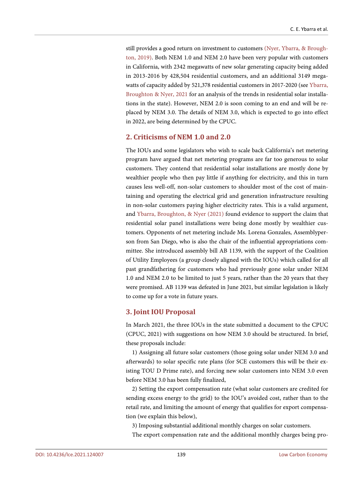still provides a good return on investment to customers [\(Nyer, Ybarra,](#page-15-1) & Brough[ton, 2019\)](#page-15-1). Both NEM 1.0 and NEM 2.0 have been very popular with customers in California, with 2342 megawatts of new solar generating capacity being added in 2013-2016 by 428,504 residential customers, and an additional 3149 megawatts of capacity added by 521,378 residential customers in 2017-2020 (see [Ybarra,](#page-15-2)  [Broughton & Nyer, 2021](#page-15-2) for an analysis of the trends in residential solar installations in the state). However, NEM 2.0 is soon coming to an end and will be replaced by NEM 3.0. The details of NEM 3.0, which is expected to go into effect in 2022, are being determined by the CPUC.

# **2. Criticisms of NEM 1.0 and 2.0**

The IOUs and some legislators who wish to scale back California's net metering program have argued that net metering programs are far too generous to solar customers. They contend that residential solar installations are mostly done by wealthier people who then pay little if anything for electricity, and this in turn causes less well-off, non-solar customers to shoulder most of the cost of maintaining and operating the electrical grid and generation infrastructure resulting in non-solar customers paying higher electricity rates. This is a valid argument, and [Ybarra, Broughton,](#page-15-2) & Nyer (2021) found evidence to support the claim that residential solar panel installations were being done mostly by wealthier customers. Opponents of net metering include Ms. Lorena Gonzales, Assemblyperson from San Diego, who is also the chair of the influential appropriations committee. She introduced assembly bill AB 1139, with the support of the Coalition of Utility Employees (a group closely aligned with the IOUs) which called for all past grandfathering for customers who had previously gone solar under NEM 1.0 and NEM 2.0 to be limited to just 5 years, rather than the 20 years that they were promised. AB 1139 was defeated in June 2021, but similar legislation is likely to come up for a vote in future years.

#### **3. Joint IOU Proposal**

In March 2021, the three IOUs in the state submitted a document to the CPUC (CPUC, 2021) with suggestions on how NEM 3.0 should be structured. In brief, these proposals include:

1) Assigning all future solar customers (those going solar under NEM 3.0 and afterwards) to solar specific rate plans (for SCE customers this will be their existing TOU D Prime rate), and forcing new solar customers into NEM 3.0 even before NEM 3.0 has been fully finalized,

2) Setting the export compensation rate (what solar customers are credited for sending excess energy to the grid) to the IOU's avoided cost, rather than to the retail rate, and limiting the amount of energy that qualifies for export compensation (we explain this below),

3) Imposing substantial additional monthly charges on solar customers. The export compensation rate and the additional monthly charges being pro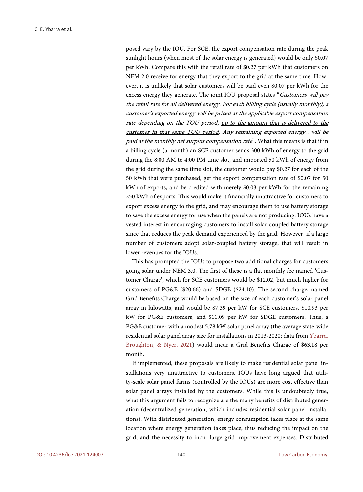posed vary by the IOU. For SCE, the export compensation rate during the peak sunlight hours (when most of the solar energy is generated) would be only \$0.07 per kWh. Compare this with the retail rate of \$0.27 per kWh that customers on NEM 2.0 receive for energy that they export to the grid at the same time. However, it is unlikely that solar customers will be paid even \$0.07 per kWh for the excess energy they generate. The joint IOU proposal states "Customers will pay the retail rate for all delivered energy. For each billing cycle (usually monthly), a customer's exported energy will be priced at the applicable export compensation rate depending on the TOU period, up to the amount that is delivered to the customer in that same TOU period. Any remaining exported energy…will be paid at the monthly net surplus compensation rate". What this means is that if in a billing cycle (a month) an SCE customer sends 300 kWh of energy to the grid during the 8:00 AM to 4:00 PM time slot, and imported 50 kWh of energy from the grid during the same time slot, the customer would pay \$0.27 for each of the 50 kWh that were purchased, get the export compensation rate of \$0.07 for 50 kWh of exports, and be credited with merely \$0.03 per kWh for the remaining 250 kWh of exports. This would make it financially unattractive for customers to export excess energy to the grid, and may encourage them to use battery storage to save the excess energy for use when the panels are not producing. IOUs have a vested interest in encouraging customers to install solar-coupled battery storage since that reduces the peak demand experienced by the grid. However, if a large number of customers adopt solar-coupled battery storage, that will result in lower revenues for the IOUs.

This has prompted the IOUs to propose two additional charges for customers going solar under NEM 3.0. The first of these is a flat monthly fee named 'Customer Charge', which for SCE customers would be \$12.02, but much higher for customers of PG&E (\$20.66) and SDGE (\$24.10). The second charge, named Grid Benefits Charge would be based on the size of each customer's solar panel array in kilowatts, and would be \$7.39 per kW for SCE customers, \$10.93 per kW for PG&E customers, and \$11.09 per kW for SDGE customers. Thus, a PG&E customer with a modest 5.78 kW solar panel array (the average state-wide residential solar panel array size for installations in 2013-2020; data from [Ybarra,](#page-15-2)  Broughton, [& Nyer, 2021\)](#page-15-2) would incur a Grid Benefits Charge of \$63.18 per month.

If implemented, these proposals are likely to make residential solar panel installations very unattractive to customers. IOUs have long argued that utility-scale solar panel farms (controlled by the IOUs) are more cost effective than solar panel arrays installed by the customers. While this is undoubtedly true, what this argument fails to recognize are the many benefits of distributed generation (decentralized generation, which includes residential solar panel installations). With distributed generation, energy consumption takes place at the same location where energy generation takes place, thus reducing the impact on the grid, and the necessity to incur large grid improvement expenses. Distributed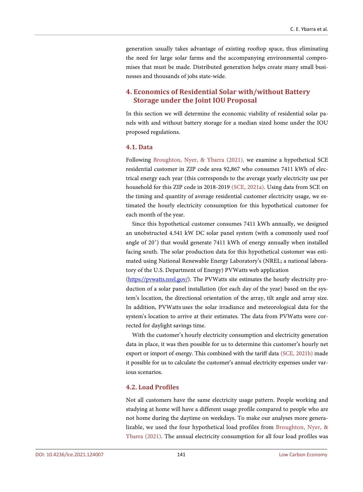generation usually takes advantage of existing rooftop space, thus eliminating the need for large solar farms and the accompanying environmental compromises that must be made. Distributed generation helps create many small businesses and thousands of jobs state-wide.

# **4. Economics of Residential Solar with/without Battery Storage under the Joint IOU Proposal**

In this section we will determine the economic viability of residential solar panels with and without battery storage for a median sized home under the IOU proposed regulations.

#### **4.1. Data**

Following [Broughton, Nyer,](#page-15-3) & Ybarra (2021), we examine a hypothetical SCE residential customer in ZIP code area 92,867 who consumes 7411 kWh of electrical energy each year (this corresponds to the average yearly electricity use per household for this ZIP code in 2018-2019 [\(SCE, 2021a\)](#page-15-4). Using data from SCE on the timing and quantity of average residential customer electricity usage, we estimated the hourly electricity consumption for this hypothetical customer for each month of the year.

Since this hypothetical customer consumes 7411 kWh annually, we designed an unobstructed 4.541 kW DC solar panel system (with a commonly used roof angle of 20˚) that would generate 7411 kWh of energy annually when installed facing south. The solar production data for this hypothetical customer was estimated using National Renewable Energy Laboratory's (NREL; a national laboratory of the U.S. Department of Energy) PVWatts web application

[\(https://pvwatts.nrel.gov/\)](https://pvwatts.nrel.gov/). The PVWatts site estimates the hourly electricity production of a solar panel installation (for each day of the year) based on the system's location, the directional orientation of the array, tilt angle and array size. In addition, PVWatts uses the solar irradiance and meteorological data for the system's location to arrive at their estimates. The data from PVWatts were corrected for daylight savings time.

With the customer's hourly electricity consumption and electricity generation data in place, it was then possible for us to determine this customer's hourly net export or import of energy. This combined with the tariff data [\(SCE, 2021b\)](#page-15-5) made it possible for us to calculate the customer's annual electricity expenses under various scenarios.

#### **4.2. Load Profiles**

Not all customers have the same electricity usage pattern. People working and studying at home will have a different usage profile compared to people who are not home during the daytime on weekdays. To make our analyses more generalizable, we used the four hypothetical load profiles from [Broughton, Nyer,](#page-15-3) & [Ybarra \(2021\).](#page-15-3) The annual electricity consumption for all four load profiles was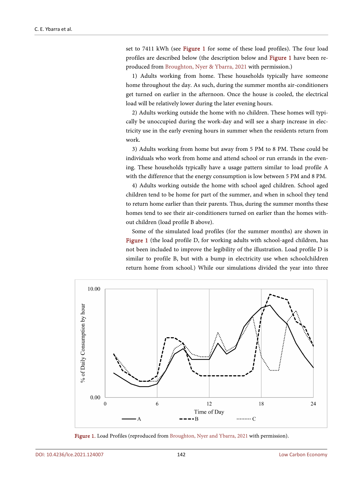set to 7411 kWh (see [Figure 1](#page-7-0) for some of these load profiles). The four load profiles are described below (the description below and [Figure 1](#page-7-0) have been reproduced from [Broughton, Nyer & Ybarra, 2021](#page-15-3) with permission.)

1) Adults working from home. These households typically have someone home throughout the day. As such, during the summer months air-conditioners get turned on earlier in the afternoon. Once the house is cooled, the electrical load will be relatively lower during the later evening hours.

2) Adults working outside the home with no children. These homes will typically be unoccupied during the work-day and will see a sharp increase in electricity use in the early evening hours in summer when the residents return from work.

3) Adults working from home but away from 5 PM to 8 PM. These could be individuals who work from home and attend school or run errands in the evening. These households typically have a usage pattern similar to load profile A with the difference that the energy consumption is low between 5 PM and 8 PM.

4) Adults working outside the home with school aged children. School aged children tend to be home for part of the summer, and when in school they tend to return home earlier than their parents. Thus, during the summer months these homes tend to see their air-conditioners turned on earlier than the homes without children (load profile B above).

Some of the simulated load profiles (for the summer months) are shown in [Figure 1](#page-7-0) (the load profile D, for working adults with school-aged children, has not been included to improve the legibility of the illustration. Load profile D is similar to profile B, but with a bump in electricity use when schoolchildren return home from school.) While our simulations divided the year into three

<span id="page-7-0"></span>

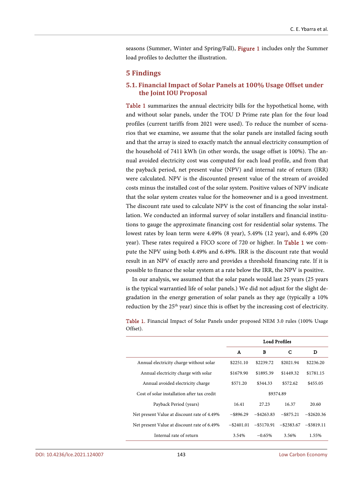seasons (Summer, Winter and Spring/Fall), [Figure 1](#page-7-0) includes only the Summer load profiles to declutter the illustration.

#### **5 Findings**

#### **5.1. Financial Impact of Solar Panels at 100% Usage Offset under the Joint IOU Proposal**

[Table 1](#page-8-0) summarizes the annual electricity bills for the hypothetical home, with and without solar panels, under the TOU D Prime rate plan for the four load profiles (current tariffs from 2021 were used). To reduce the number of scenarios that we examine, we assume that the solar panels are installed facing south and that the array is sized to exactly match the annual electricity consumption of the household of 7411 kWh (in other words, the usage offset is 100%). The annual avoided electricity cost was computed for each load profile, and from that the payback period, net present value (NPV) and internal rate of return (IRR) were calculated. NPV is the discounted present value of the stream of avoided costs minus the installed cost of the solar system. Positive values of NPV indicate that the solar system creates value for the homeowner and is a good investment. The discount rate used to calculate NPV is the cost of financing the solar installation. We conducted an informal survey of solar installers and financial institutions to gauge the approximate financing cost for residential solar systems. The lowest rates by loan term were 4.49% (8 year), 5.49% (12 year), and 6.49% (20 year). These rates required a FICO score of 720 or higher. In [Table 1](#page-8-0) we compute the NPV using both 4.49% and 6.49%. IRR is the discount rate that would result in an NPV of exactly zero and provides a threshold financing rate. If it is possible to finance the solar system at a rate below the IRR, the NPV is positive.

In our analysis, we assumed that the solar panels would last 25 years (25 years is the typical warrantied life of solar panels.) We did not adjust for the slight degradation in the energy generation of solar panels as they age (typically a 10% reduction by the 25<sup>th</sup> year) since this is offset by the increasing cost of electricity.

|                                             | <b>Load Profiles</b> |               |               |               |
|---------------------------------------------|----------------------|---------------|---------------|---------------|
|                                             | A                    | B             | C             | D             |
| Annual electricity charge without solar     | \$2251.10            | \$2239.72     | \$2021.94     | \$2236.20     |
| Annual electricity charge with solar        | \$1679.90            | \$1895.39     | \$1449.32     | \$1781.15     |
| Annual avoided electricity charge           | \$571.20             | \$344.33      | \$572.62      | \$455.05      |
| Cost of solar installation after tax credit | \$9374.89            |               |               |               |
| Payback Period (years)                      | 16.41                | 27.23         | 16.37         | 20.60         |
| Net present Value at discount rate of 4.49% | $-$ \$896.29         | $-$ \$4263.83 | $-$ \$875.21  | $-$ \$2620.36 |
| Net present Value at discount rate of 6.49% | $-$ \$2401.01        | $-$ \$5170.91 | $-$ \$2383.67 | $-$ \$3819.11 |
| Internal rate of return                     | 3.54%                | $-0.65%$      | 3.56%         | 1.55%         |

<span id="page-8-0"></span>

|          | <b>Table 1.</b> Financial Impact of Solar Panels under proposed NEM 3.0 rules (100% Usage |  |  |
|----------|-------------------------------------------------------------------------------------------|--|--|
| Offset). |                                                                                           |  |  |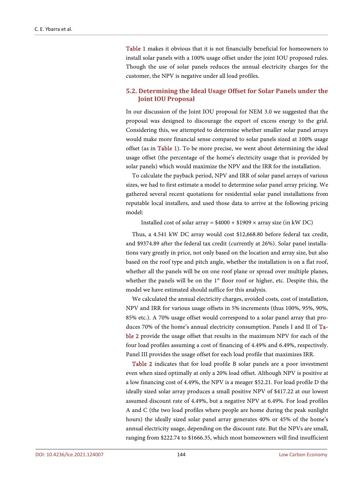[Table 1](#page-8-0) makes it obvious that it is not financially beneficial for homeowners to install solar panels with a 100% usage offset under the joint IOU proposed rules. Though the use of solar panels reduces the annual electricity charges for the customer, the NPV is negative under all load profiles.

#### **5.2. Determining the Ideal Usage Offset for Solar Panels under the Joint IOU Proposal**

In our discussion of the Joint IOU proposal for NEM 3.0 we suggested that the proposal was designed to discourage the export of excess energy to the grid. Considering this, we attempted to determine whether smaller solar panel arrays would make more financial sense compared to solar panels sized at 100% usage offset (as in [Table 1\)](#page-8-0). To be more precise, we went about determining the ideal usage offset (the percentage of the home's electricity usage that is provided by solar panels) which would maximize the NPV and the IRR for the installation.

To calculate the payback period, NPV and IRR of solar panel arrays of various sizes, we had to first estimate a model to determine solar panel array pricing. We gathered several recent quotations for residential solar panel installations from reputable local installers, and used those data to arrive at the following pricing model:

Installed cost of solar array =  $$4000 + $1909 \times$  array size (in kW DC)

Thus, a 4.541 kW DC array would cost \$12,668.80 before federal tax credit, and \$9374.89 after the federal tax credit (currently at 26%). Solar panel installations vary greatly in price, not only based on the location and array size, but also based on the roof type and pitch angle, whether the installation is on a flat roof, whether all the panels will be on one roof plane or spread over multiple planes, whether the panels will be on the  $1<sup>st</sup>$  floor roof or higher, etc. Despite this, the model we have estimated should suffice for this analysis.

We calculated the annual electricity charges, avoided costs, cost of installation, NPV and IRR for various usage offsets in 5% increments (thus 100%, 95%, 90%, 85% etc.). A 70% usage offset would correspond to a solar panel array that produces 70% of the home's annual electricity consumption. Panels I and II of [Ta](#page-10-0)[ble 2](#page-10-0) provide the usage offset that results in the maximum NPV for each of the four load profiles assuming a cost of financing of 4.49% and 6.49%, respectively. Panel III provides the usage offset for each load profile that maximizes IRR.

[Table 2](#page-10-0) indicates that for load profile B solar panels are a poor investment even when sized optimally at only a 20% load offset. Although NPV is positive at a low financing cost of 4.49%, the NPV is a meager \$52.21. For load profile D the ideally sized solar array produces a small positive NPV of \$417.22 at our lowest assumed discount rate of 4.49%, but a negative NPV at 6.49%. For load profiles A and C (the two load profiles where people are home during the peak sunlight hours) the ideally sized solar panel array generates 40% or 45% of the home's annual electricity usage, depending on the discount rate. But the NPVs are small, ranging from \$222.74 to \$1666.35, which most homeowners will find insufficient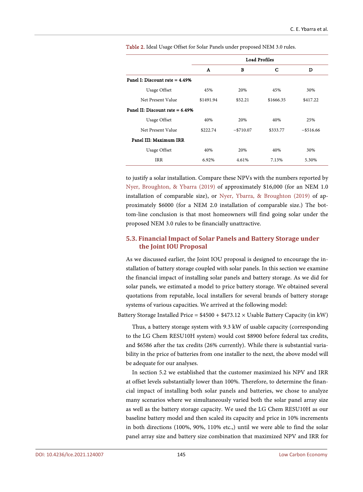<span id="page-10-0"></span>

|                                    | <b>Load Profiles</b> |              |           |              |
|------------------------------------|----------------------|--------------|-----------|--------------|
|                                    | A                    | B            | C         | D            |
| Panel I: Discount rate $= 4.49%$   |                      |              |           |              |
| Usage Offset                       | 45%                  | 20%          | 45%       | 30%          |
| Net Present Value                  | \$1491.94            | \$52.21      | \$1666.35 | \$417.22     |
| Panel II: Discount rate $= 6.49\%$ |                      |              |           |              |
| Usage Offset                       | 40%                  | 20%          | 40%       | 25%          |
| Net Present Value                  | \$222.74             | $-$ \$710.07 | \$333.77  | $-$ \$516.66 |
| Panel III: Maximum IRR             |                      |              |           |              |
| Usage Offset                       | 40%                  | 20%          | 40%       | 30%          |
| <b>IRR</b>                         | 6.92%                | 4.61%        | 7.13%     | 5.30%        |

Table 2. Ideal Usage Offset for Solar Panels under proposed NEM 3.0 rules.

to justify a solar installation. Compare these NPVs with the numbers reported by [Nyer, Broughton,](#page-15-1) & Ybarra (2019) of approximately \$16,000 (for an NEM 1.0 installation of comparable size), or Nyer, Ybarra, [& Broughton \(2019\)](#page-15-6) of approximately \$6000 (for a NEM 2.0 installation of comparable size.) The bottom-line conclusion is that most homeowners will find going solar under the proposed NEM 3.0 rules to be financially unattractive.

#### **5.3. Financial Impact of Solar Panels and Battery Storage under the Joint IOU Proposal**

As we discussed earlier, the Joint IOU proposal is designed to encourage the installation of battery storage coupled with solar panels. In this section we examine the financial impact of installing solar panels and battery storage. As we did for solar panels, we estimated a model to price battery storage. We obtained several quotations from reputable, local installers for several brands of battery storage systems of various capacities. We arrived at the following model:

Battery Storage Installed Price =  $$4500 + $473.12 \times$  Usable Battery Capacity (in kW)

Thus, a battery storage system with 9.3 kW of usable capacity (corresponding to the LG Chem RESU10H system) would cost \$8900 before federal tax credits, and \$6586 after the tax credits (26% currently). While there is substantial variability in the price of batteries from one installer to the next, the above model will be adequate for our analyses.

In section 5.2 we established that the customer maximized his NPV and IRR at offset levels substantially lower than 100%. Therefore, to determine the financial impact of installing both solar panels and batteries, we chose to analyze many scenarios where we simultaneously varied both the solar panel array size as well as the battery storage capacity. We used the LG Chem RESU10H as our baseline battery model and then scaled its capacity and price in 10% increments in both directions (100%, 90%, 110% etc.,) until we were able to find the solar panel array size and battery size combination that maximized NPV and IRR for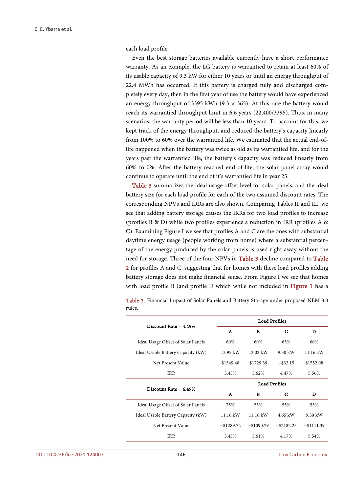each load profile.

Even the best storage batteries available currently have a short performance warranty. As an example, the LG battery is warrantied to retain at least 60% of its usable capacity of 9.3 kW for either 10 years or until an energy throughput of 22.4 MWh has occurred. If this battery is charged fully and discharged completely every day, then in the first year of use the battery would have experienced an energy throughput of 3395 kWh (9.3  $\times$  365). At this rate the battery would reach its warrantied throughput limit in 6.6 years (22,400/3395). Thus, in many scenarios, the warranty period will be less than 10 years. To account for this, we kept track of the energy throughput, and reduced the battery's capacity linearly from 100% to 60% over the warrantied life. We estimated that the actual end-oflife happened when the battery was twice as old as its warrantied life, and for the years past the warrantied life, the battery's capacity was reduced linearly from 60% to 0%. After the battery reached end-of-life, the solar panel array would continue to operate until the end of it's warrantied life in year 25.

[Table 3](#page-11-0) summarizes the ideal usage offset level for solar panels, and the ideal battery size for each load profile for each of the two assumed discount rates. The corresponding NPVs and IRRs are also shown. Comparing Tables II and III, we see that adding battery storage causes the IRRs for two load profiles to increase (profiles B & D) while two profiles experience a reduction in IRR (profiles A & C). Examining Figure I we see that profiles A and C are the ones with substantial daytime energy usage (people working from home) where a substantial percentage of the energy produced by the solar panels is used right away without the need for storage. Three of the four NPVs in [Table 3](#page-11-0) decline compared to [Table](#page-10-0)  [2](#page-10-0) for profiles A and C, suggesting that for homes with these load profiles adding battery storage does not make financial sense. From Figure I we see that homes with load profile B (and profile D which while not included in [Figure 1](#page-7-0) has a

<span id="page-11-0"></span>Table 3. Financial Impact of Solar Panels and Battery Storage under proposed NEM 3.0 rules.

| Discount Rate $= 4.49%$            | <b>Load Profiles</b> |                    |               |                    |
|------------------------------------|----------------------|--------------------|---------------|--------------------|
|                                    | A                    | в                  | C             | D                  |
| Ideal Usage Offset of Solar Panels | 80%                  | 60%                | 65%           | 60%                |
| Ideal Usable Battery Capacity (kW) | $13.95 \text{ kW}$   | $13.02 \text{ kW}$ | 9.30 kW       | $11.16 \text{ kW}$ |
| Net Present Value                  | \$1549.48            | \$1729.39          | $-$ \$32.15   | \$1552.08          |
| <b>IRR</b>                         | 5.45%                | 5.62%              | 4.47%         | 5.56%              |
| Discount Rate $= 6.49%$            | <b>Load Profiles</b> |                    |               |                    |
|                                    | A                    | B                  | C             | D                  |
| Ideal Usage Offset of Solar Panels | 75%                  | 55%                | 55%           | 55%                |
| Ideal Usable Battery Capacity (kW) | $11.16 \text{ kW}$   | $11.16 \text{ kW}$ | 4.65 kW       | 9.30 kW            |
| Net Present Value                  | $-$ \$1289.72        | $-$ \$1090.79      | $-$ \$2182.25 | $-$1111.39$        |
| <b>IRR</b>                         | 5.45%                | 5.61%              | 4.17%         | 5.54%              |

DOI[: 10.4236/lce.2021.124007](https://doi.org/10.4236/lce.2021.124007) 146 Low Carbon Economy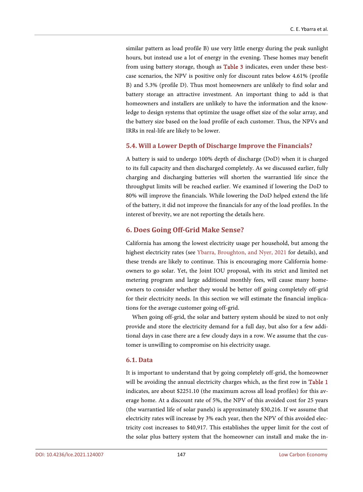similar pattern as load profile B) use very little energy during the peak sunlight hours, but instead use a lot of energy in the evening. These homes may benefit from using battery storage, though as [Table 3](#page-11-0) indicates, even under these bestcase scenarios, the NPV is positive only for discount rates below 4.61% (profile B) and 5.3% (profile D). Thus most homeowners are unlikely to find solar and battery storage an attractive investment. An important thing to add is that homeowners and installers are unlikely to have the information and the knowledge to design systems that optimize the usage offset size of the solar array, and the battery size based on the load profile of each customer. Thus, the NPVs and IRRs in real-life are likely to be lower.

#### **5.4. Will a Lower Depth of Discharge Improve the Financials?**

A battery is said to undergo 100% depth of discharge (DoD) when it is charged to its full capacity and then discharged completely. As we discussed earlier, fully charging and discharging batteries will shorten the warrantied life since the throughput limits will be reached earlier. We examined if lowering the DoD to 80% will improve the financials. While lowering the DoD helped extend the life of the battery, it did not improve the financials for any of the load profiles. In the interest of brevity, we are not reporting the details here.

## **6. Does Going Off-Grid Make Sense?**

California has among the lowest electricity usage per household, but among the highest electricity rates (see [Ybarra, Broughton,](#page-15-2) and Nyer, 2021 for details), and these trends are likely to continue. This is encouraging more California homeowners to go solar. Yet, the Joint IOU proposal, with its strict and limited net metering program and large additional monthly fees, will cause many homeowners to consider whether they would be better off going completely off-grid for their electricity needs. In this section we will estimate the financial implications for the average customer going off-grid.

When going off-grid, the solar and battery system should be sized to not only provide and store the electricity demand for a full day, but also for a few additional days in case there are a few cloudy days in a row. We assume that the customer is unwilling to compromise on his electricity usage.

#### **6.1. Data**

It is important to understand that by going completely off-grid, the homeowner will be avoiding the annual electricity charges which, as the first row in [Table 1](#page-8-0) indicates, are about \$2251.10 (the maximum across all load profiles) for this average home. At a discount rate of 5%, the NPV of this avoided cost for 25 years (the warrantied life of solar panels) is approximately \$30,216. If we assume that electricity rates will increase by 3% each year, then the NPV of this avoided electricity cost increases to \$40,917. This establishes the upper limit for the cost of the solar plus battery system that the homeowner can install and make the in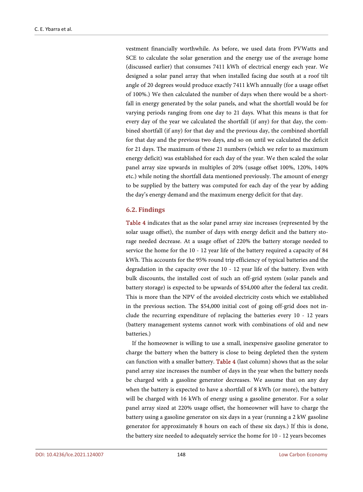vestment financially worthwhile. As before, we used data from PVWatts and SCE to calculate the solar generation and the energy use of the average home (discussed earlier) that consumes 7411 kWh of electrical energy each year. We designed a solar panel array that when installed facing due south at a roof tilt angle of 20 degrees would produce exactly 7411 kWh annually (for a usage offset of 100%.) We then calculated the number of days when there would be a shortfall in energy generated by the solar panels, and what the shortfall would be for varying periods ranging from one day to 21 days. What this means is that for every day of the year we calculated the shortfall (if any) for that day, the combined shortfall (if any) for that day and the previous day, the combined shortfall for that day and the previous two days, and so on until we calculated the deficit for 21 days. The maximum of these 21 numbers (which we refer to as maximum energy deficit) was established for each day of the year. We then scaled the solar panel array size upwards in multiples of 20% (usage offset 100%, 120%, 140% etc.) while noting the shortfall data mentioned previously. The amount of energy to be supplied by the battery was computed for each day of the year by adding the day's energy demand and the maximum energy deficit for that day.

#### **6.2. Findings**

[Table 4](#page-14-0) indicates that as the solar panel array size increases (represented by the solar usage offset), the number of days with energy deficit and the battery storage needed decrease. At a usage offset of 220% the battery storage needed to service the home for the 10 - 12 year life of the battery required a capacity of 84 kWh. This accounts for the 95% round trip efficiency of typical batteries and the degradation in the capacity over the 10 - 12 year life of the battery. Even with bulk discounts, the installed cost of such an off-grid system (solar panels and battery storage) is expected to be upwards of \$54,000 after the federal tax credit. This is more than the NPV of the avoided electricity costs which we established in the previous section. The \$54,000 initial cost of going off-grid does not include the recurring expenditure of replacing the batteries every 10 - 12 years (battery management systems cannot work with combinations of old and new batteries.)

If the homeowner is willing to use a small, inexpensive gasoline generator to charge the battery when the battery is close to being depleted then the system can function with a smaller battery[. Table 4](#page-14-0) (last column) shows that as the solar panel array size increases the number of days in the year when the battery needs be charged with a gasoline generator decreases. We assume that on any day when the battery is expected to have a shortfall of 8 kWh (or more), the battery will be charged with 16 kWh of energy using a gasoline generator. For a solar panel array sized at 220% usage offset, the homeowner will have to charge the battery using a gasoline generator on six days in a year (running a 2 kW gasoline generator for approximately 8 hours on each of these six days.) If this is done, the battery size needed to adequately service the home for 10 - 12 years becomes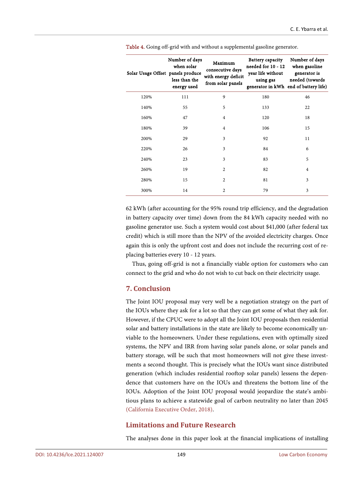| Solar Usage Offset panels produce | Number of days<br>when solar<br>less than the<br>energy used | Maximum<br>consecutive days<br>with energy deficit<br>from solar panels | Battery capacity<br>needed for 10 - 12<br>year life without<br>using gas | Number of days<br>when gasoline<br>generator is<br>needed (towards<br>generator in kWh end of battery life) |
|-----------------------------------|--------------------------------------------------------------|-------------------------------------------------------------------------|--------------------------------------------------------------------------|-------------------------------------------------------------------------------------------------------------|
| 120%                              | 111                                                          | 9                                                                       | 180                                                                      | 46                                                                                                          |
| 140%                              | 55                                                           | 5                                                                       | 133                                                                      | 22                                                                                                          |
| 160%                              | 47                                                           | $\overline{4}$                                                          | 120                                                                      | 18                                                                                                          |
| 180%                              | 39                                                           | $\overline{4}$                                                          | 106                                                                      | 15                                                                                                          |
| 200%                              | 29                                                           | 3                                                                       | 92                                                                       | 11                                                                                                          |
| 220%                              | 26                                                           | 3                                                                       | 84                                                                       | 6                                                                                                           |
| 240%                              | 23                                                           | 3                                                                       | 83                                                                       | 5                                                                                                           |
| 260%                              | 19                                                           | $\overline{c}$                                                          | 82                                                                       | $\overline{4}$                                                                                              |
| 280%                              | 15                                                           | $\overline{2}$                                                          | 81                                                                       | 3                                                                                                           |
| 300%                              | 14                                                           | 2                                                                       | 79                                                                       | 3                                                                                                           |

<span id="page-14-0"></span>Table 4. Going off-grid with and without a supplemental gasoline generator.

62 kWh (after accounting for the 95% round trip efficiency, and the degradation in battery capacity over time) down from the 84 kWh capacity needed with no gasoline generator use. Such a system would cost about \$41,000 (after federal tax credit) which is still more than the NPV of the avoided electricity charges. Once again this is only the upfront cost and does not include the recurring cost of replacing batteries every 10 - 12 years.

Thus, going off-grid is not a financially viable option for customers who can connect to the grid and who do not wish to cut back on their electricity usage.

## **7. Conclusion**

The Joint IOU proposal may very well be a negotiation strategy on the part of the IOUs where they ask for a lot so that they can get some of what they ask for. However, if the CPUC were to adopt all the Joint IOU proposals then residential solar and battery installations in the state are likely to become economically unviable to the homeowners. Under these regulations, even with optimally sized systems, the NPV and IRR from having solar panels alone, or solar panels and battery storage, will be such that most homeowners will not give these investments a second thought. This is precisely what the IOUs want since distributed generation (which includes residential rooftop solar panels) lessens the dependence that customers have on the IOUs and threatens the bottom line of the IOUs. Adoption of the Joint IOU proposal would jeopardize the state's ambitious plans to achieve a statewide goal of carbon neutrality no later than 2045 [\(California Executive Order, 2018\)](#page-15-7).

## **Limitations and Future Research**

The analyses done in this paper look at the financial implications of installing